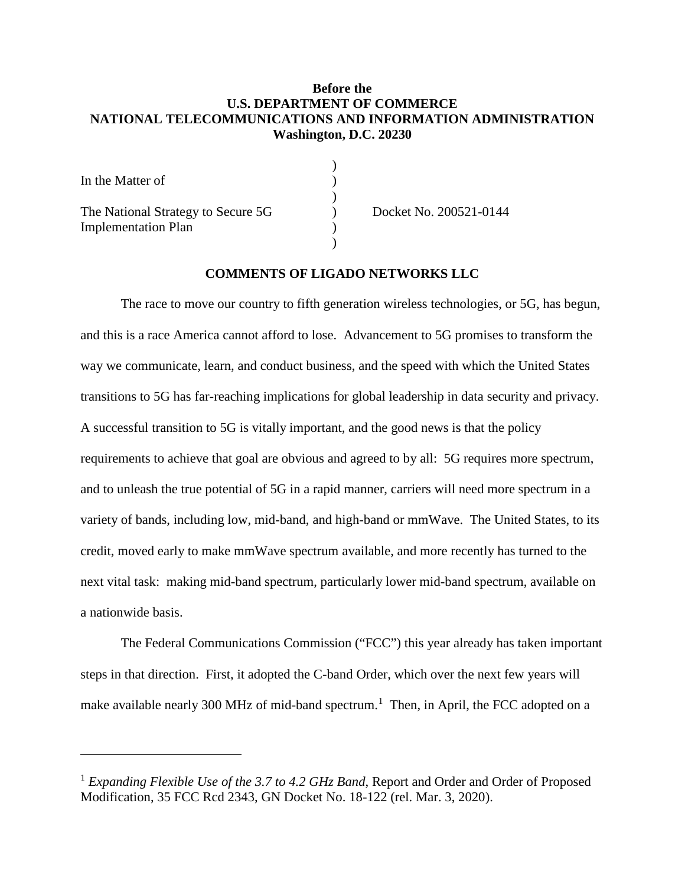### **Before the U.S. DEPARTMENT OF COMMERCE NATIONAL TELECOMMUNICATIONS AND INFORMATION ADMINISTRATION Washington, D.C. 20230**

)

)

)

| In the Matter of                                                 |  |
|------------------------------------------------------------------|--|
| The National Strategy to Secure 5G<br><b>Implementation Plan</b> |  |

l

) Docket No. 200521-0144

#### **COMMENTS OF LIGADO NETWORKS LLC**

The race to move our country to fifth generation wireless technologies, or 5G, has begun, and this is a race America cannot afford to lose. Advancement to 5G promises to transform the way we communicate, learn, and conduct business, and the speed with which the United States transitions to 5G has far-reaching implications for global leadership in data security and privacy. A successful transition to 5G is vitally important, and the good news is that the policy requirements to achieve that goal are obvious and agreed to by all: 5G requires more spectrum, and to unleash the true potential of 5G in a rapid manner, carriers will need more spectrum in a variety of bands, including low, mid-band, and high-band or mmWave. The United States, to its credit, moved early to make mmWave spectrum available, and more recently has turned to the next vital task: making mid-band spectrum, particularly lower mid-band spectrum, available on a nationwide basis.

The Federal Communications Commission ("FCC") this year already has taken important steps in that direction. First, it adopted the C-band Order, which over the next few years will make available nearly 300 MHz of mid-band spectrum.<sup>[1](#page-0-0)</sup> Then, in April, the FCC adopted on a

<span id="page-0-0"></span><sup>1</sup> *Expanding Flexible Use of the 3.7 to 4.2 GHz Band*, Report and Order and Order of Proposed Modification, 35 FCC Rcd 2343, GN Docket No. 18-122 (rel. Mar. 3, 2020).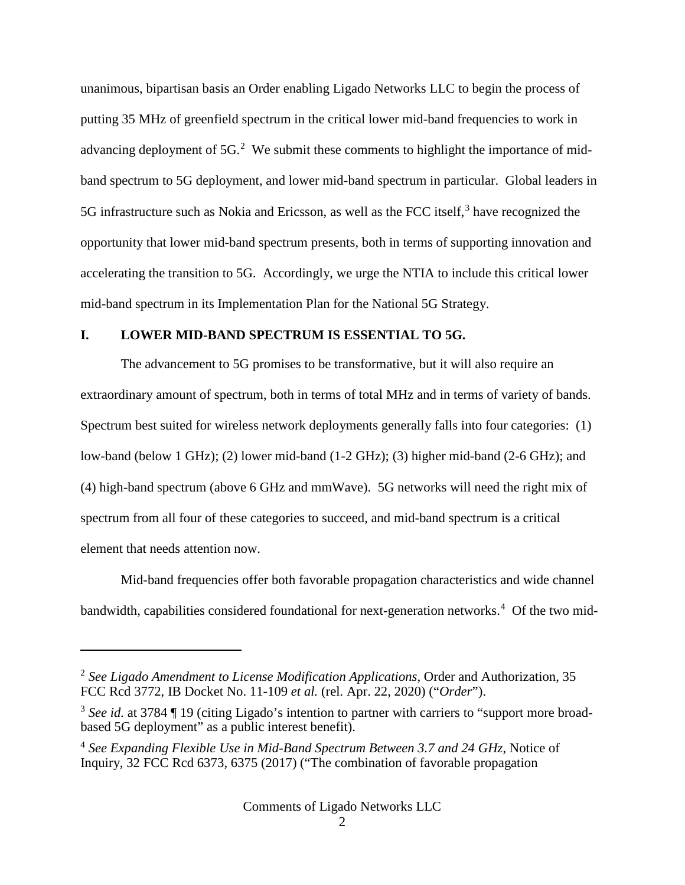unanimous, bipartisan basis an Order enabling Ligado Networks LLC to begin the process of putting 35 MHz of greenfield spectrum in the critical lower mid-band frequencies to work in advancing deployment of  $5G<sup>2</sup>$  $5G<sup>2</sup>$  $5G<sup>2</sup>$  We submit these comments to highlight the importance of midband spectrum to 5G deployment, and lower mid-band spectrum in particular. Global leaders in 5G infrastructure such as Nokia and Ericsson, as well as the FCC itself,<sup>[3](#page-1-1)</sup> have recognized the opportunity that lower mid-band spectrum presents, both in terms of supporting innovation and accelerating the transition to 5G. Accordingly, we urge the NTIA to include this critical lower mid-band spectrum in its Implementation Plan for the National 5G Strategy.

## **I. LOWER MID-BAND SPECTRUM IS ESSENTIAL TO 5G.**

 $\overline{\phantom{a}}$ 

The advancement to 5G promises to be transformative, but it will also require an extraordinary amount of spectrum, both in terms of total MHz and in terms of variety of bands. Spectrum best suited for wireless network deployments generally falls into four categories: (1) low-band (below 1 GHz); (2) lower mid-band (1-2 GHz); (3) higher mid-band (2-6 GHz); and (4) high-band spectrum (above 6 GHz and mmWave). 5G networks will need the right mix of spectrum from all four of these categories to succeed, and mid-band spectrum is a critical element that needs attention now.

Mid-band frequencies offer both favorable propagation characteristics and wide channel bandwidth, capabilities considered foundational for next-generation networks.<sup>[4](#page-1-2)</sup> Of the two mid-

<span id="page-1-0"></span><sup>2</sup> *See Ligado Amendment to License Modification Applications*, Order and Authorization, 35 FCC Rcd 3772, IB Docket No. 11-109 *et al.* (rel. Apr. 22, 2020) ("*Order*").

<span id="page-1-1"></span><sup>3</sup> *See id.* at 3784 ¶ 19 (citing Ligado's intention to partner with carriers to "support more broadbased 5G deployment" as a public interest benefit).

<span id="page-1-2"></span><sup>4</sup> *See Expanding Flexible Use in Mid-Band Spectrum Between 3.7 and 24 GHz*, Notice of Inquiry, 32 FCC Rcd 6373, 6375 (2017) ("The combination of favorable propagation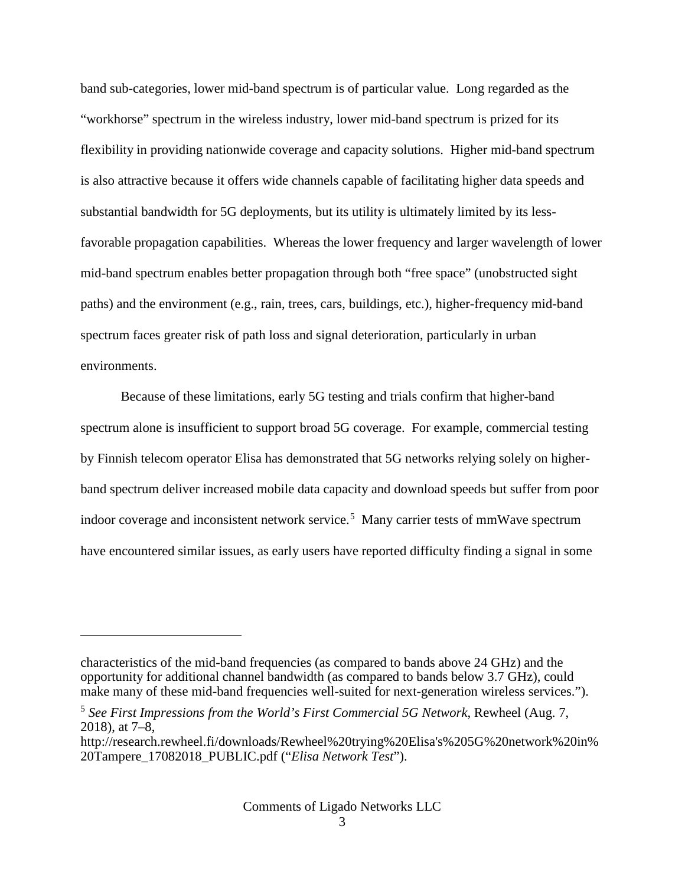band sub-categories, lower mid-band spectrum is of particular value. Long regarded as the "workhorse" spectrum in the wireless industry, lower mid-band spectrum is prized for its flexibility in providing nationwide coverage and capacity solutions. Higher mid-band spectrum is also attractive because it offers wide channels capable of facilitating higher data speeds and substantial bandwidth for 5G deployments, but its utility is ultimately limited by its lessfavorable propagation capabilities. Whereas the lower frequency and larger wavelength of lower mid-band spectrum enables better propagation through both "free space" (unobstructed sight paths) and the environment (e.g., rain, trees, cars, buildings, etc.), higher-frequency mid-band spectrum faces greater risk of path loss and signal deterioration, particularly in urban environments.

Because of these limitations, early 5G testing and trials confirm that higher-band spectrum alone is insufficient to support broad 5G coverage. For example, commercial testing by Finnish telecom operator Elisa has demonstrated that 5G networks relying solely on higherband spectrum deliver increased mobile data capacity and download speeds but suffer from poor indoor coverage and inconsistent network service.<sup>[5](#page-2-0)</sup> Many carrier tests of mmWave spectrum have encountered similar issues, as early users have reported difficulty finding a signal in some

characteristics of the mid-band frequencies (as compared to bands above 24 GHz) and the opportunity for additional channel bandwidth (as compared to bands below 3.7 GHz), could make many of these mid-band frequencies well-suited for next-generation wireless services.").

<span id="page-2-0"></span><sup>5</sup> *See First Impressions from the World's First Commercial 5G Network*, Rewheel (Aug. 7, 2018), at 7–8,

http://research.rewheel.fi/downloads/Rewheel%20trying%20Elisa's%205G%20network%20in% 20Tampere\_17082018\_PUBLIC.pdf ("*Elisa Network Test*").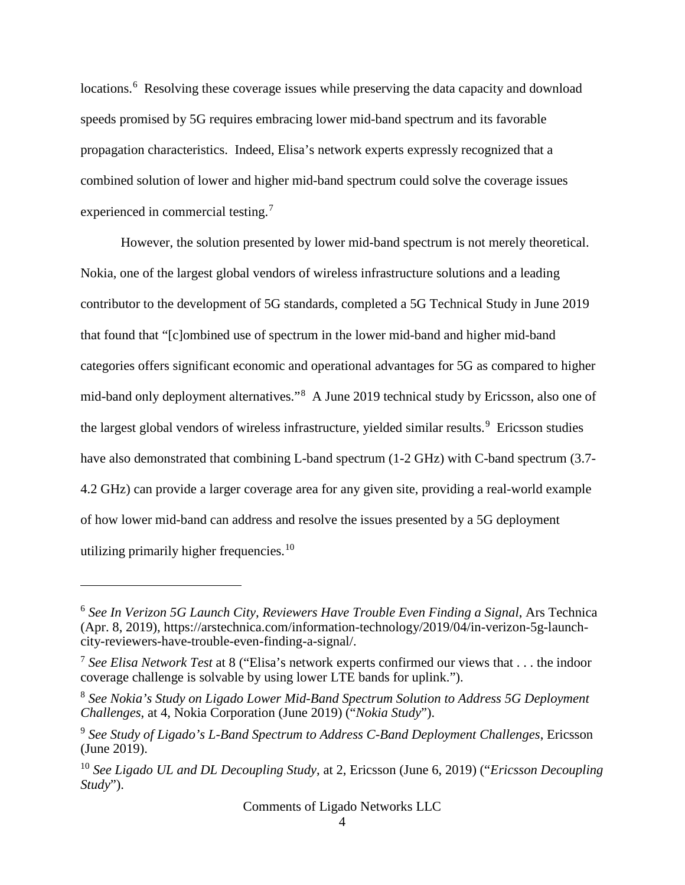locations.<sup>[6](#page-3-0)</sup> Resolving these coverage issues while preserving the data capacity and download speeds promised by 5G requires embracing lower mid-band spectrum and its favorable propagation characteristics. Indeed, Elisa's network experts expressly recognized that a combined solution of lower and higher mid-band spectrum could solve the coverage issues experienced in commercial testing.<sup>[7](#page-3-1)</sup>

However, the solution presented by lower mid-band spectrum is not merely theoretical. Nokia, one of the largest global vendors of wireless infrastructure solutions and a leading contributor to the development of 5G standards, completed a 5G Technical Study in June 2019 that found that "[c]ombined use of spectrum in the lower mid-band and higher mid-band categories offers significant economic and operational advantages for 5G as compared to higher mid-band only deployment alternatives."<sup>[8](#page-3-2)</sup> A June 2019 technical study by Ericsson, also one of the largest global vendors of wireless infrastructure, yielded similar results.<sup>[9](#page-3-3)</sup> Ericsson studies have also demonstrated that combining L-band spectrum (1-2 GHz) with C-band spectrum (3.7- 4.2 GHz) can provide a larger coverage area for any given site, providing a real-world example of how lower mid-band can address and resolve the issues presented by a 5G deployment utilizing primarily higher frequencies.<sup>[10](#page-3-4)</sup>

<span id="page-3-0"></span><sup>6</sup> *See In Verizon 5G Launch City, Reviewers Have Trouble Even Finding a Signal*, Ars Technica (Apr. 8, 2019), https://arstechnica.com/information-technology/2019/04/in-verizon-5g-launchcity-reviewers-have-trouble-even-finding-a-signal/.

<span id="page-3-1"></span><sup>7</sup> *See Elisa Network Test* at 8 ("Elisa's network experts confirmed our views that . . . the indoor coverage challenge is solvable by using lower LTE bands for uplink.").

<span id="page-3-2"></span><sup>8</sup> *See Nokia's Study on Ligado Lower Mid-Band Spectrum Solution to Address 5G Deployment Challenges*, at 4, Nokia Corporation (June 2019) ("*Nokia Study*").

<span id="page-3-3"></span><sup>9</sup> *See Study of Ligado's L-Band Spectrum to Address C-Band Deployment Challenges*, Ericsson (June 2019).

<span id="page-3-4"></span><sup>10</sup> *See Ligado UL and DL Decoupling Study*, at 2, Ericsson (June 6, 2019) ("*Ericsson Decoupling Study*").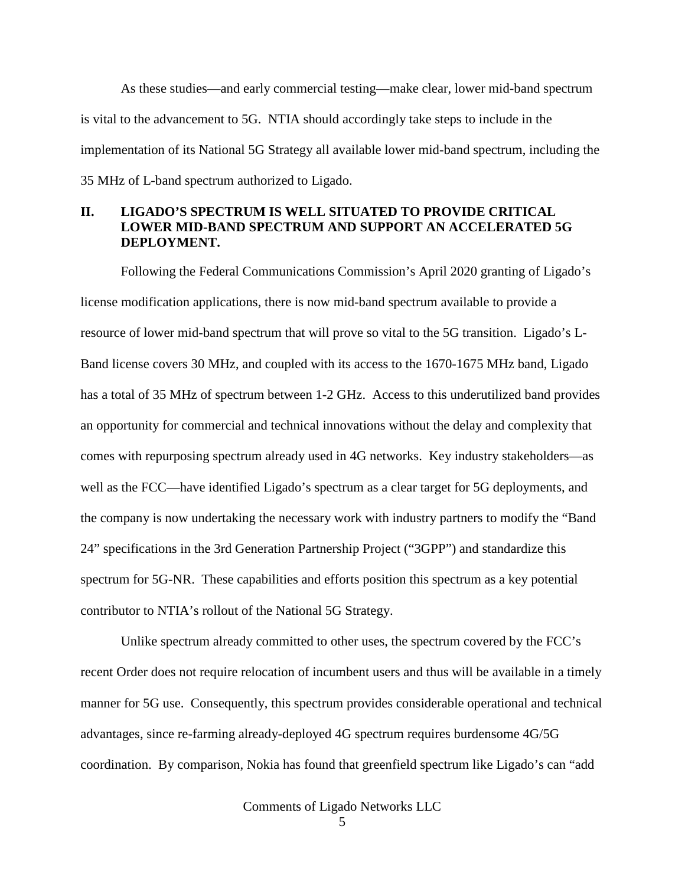As these studies—and early commercial testing—make clear, lower mid-band spectrum is vital to the advancement to 5G. NTIA should accordingly take steps to include in the implementation of its National 5G Strategy all available lower mid-band spectrum, including the 35 MHz of L-band spectrum authorized to Ligado.

# **II. LIGADO'S SPECTRUM IS WELL SITUATED TO PROVIDE CRITICAL LOWER MID-BAND SPECTRUM AND SUPPORT AN ACCELERATED 5G DEPLOYMENT.**

Following the Federal Communications Commission's April 2020 granting of Ligado's license modification applications, there is now mid-band spectrum available to provide a resource of lower mid-band spectrum that will prove so vital to the 5G transition. Ligado's L-Band license covers 30 MHz, and coupled with its access to the 1670-1675 MHz band, Ligado has a total of 35 MHz of spectrum between 1-2 GHz. Access to this underutilized band provides an opportunity for commercial and technical innovations without the delay and complexity that comes with repurposing spectrum already used in 4G networks. Key industry stakeholders—as well as the FCC—have identified Ligado's spectrum as a clear target for 5G deployments, and the company is now undertaking the necessary work with industry partners to modify the "Band 24" specifications in the 3rd Generation Partnership Project ("3GPP") and standardize this spectrum for 5G-NR. These capabilities and efforts position this spectrum as a key potential contributor to NTIA's rollout of the National 5G Strategy.

Unlike spectrum already committed to other uses, the spectrum covered by the FCC's recent Order does not require relocation of incumbent users and thus will be available in a timely manner for 5G use. Consequently, this spectrum provides considerable operational and technical advantages, since re-farming already-deployed 4G spectrum requires burdensome 4G/5G coordination. By comparison, Nokia has found that greenfield spectrum like Ligado's can "add

Comments of Ligado Networks LLC

5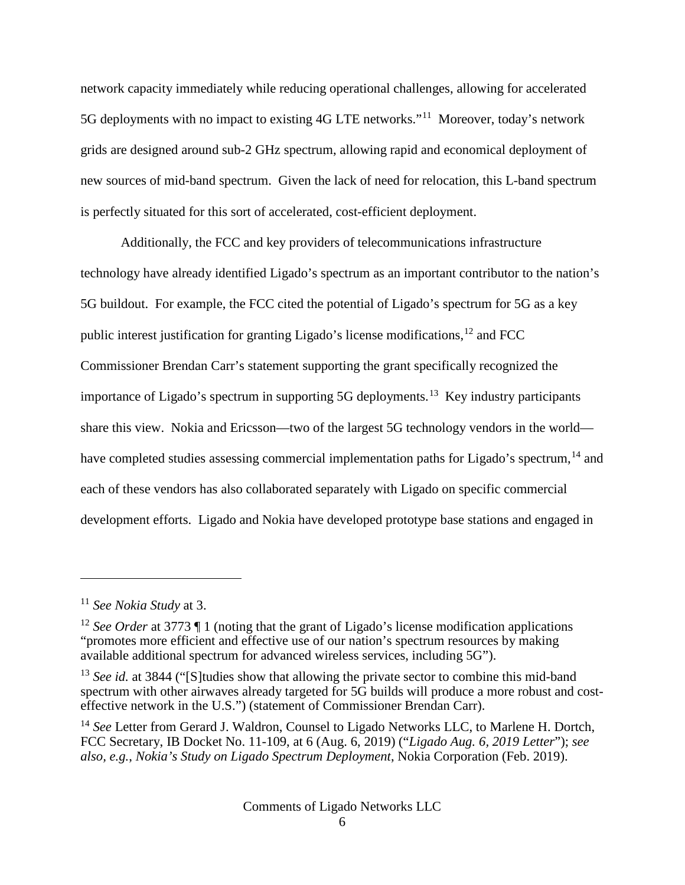network capacity immediately while reducing operational challenges, allowing for accelerated 5G deployments with no impact to existing 4G LTE networks."[11](#page-5-0) Moreover, today's network grids are designed around sub-2 GHz spectrum, allowing rapid and economical deployment of new sources of mid-band spectrum. Given the lack of need for relocation, this L-band spectrum is perfectly situated for this sort of accelerated, cost-efficient deployment.

Additionally, the FCC and key providers of telecommunications infrastructure technology have already identified Ligado's spectrum as an important contributor to the nation's 5G buildout. For example, the FCC cited the potential of Ligado's spectrum for 5G as a key public interest justification for granting Ligado's license modifications,[12](#page-5-1) and FCC Commissioner Brendan Carr's statement supporting the grant specifically recognized the importance of Ligado's spectrum in supporting 5G deployments.[13](#page-5-2) Key industry participants share this view. Nokia and Ericsson—two of the largest 5G technology vendors in the world— have completed studies assessing commercial implementation paths for Ligado's spectrum,<sup>[14](#page-5-3)</sup> and each of these vendors has also collaborated separately with Ligado on specific commercial development efforts. Ligado and Nokia have developed prototype base stations and engaged in

<span id="page-5-0"></span><sup>11</sup> *See Nokia Study* at 3.

<span id="page-5-1"></span><sup>&</sup>lt;sup>12</sup> *See Order* at 3773  $\P$  1 (noting that the grant of Ligado's license modification applications "promotes more efficient and effective use of our nation's spectrum resources by making available additional spectrum for advanced wireless services, including 5G").

<span id="page-5-2"></span><sup>&</sup>lt;sup>13</sup> *See id.* at 3844 ("[S] tudies show that allowing the private sector to combine this mid-band spectrum with other airwaves already targeted for 5G builds will produce a more robust and costeffective network in the U.S.") (statement of Commissioner Brendan Carr).

<span id="page-5-3"></span><sup>&</sup>lt;sup>14</sup> See Letter from Gerard J. Waldron, Counsel to Ligado Networks LLC, to Marlene H. Dortch, FCC Secretary, IB Docket No. 11-109, at 6 (Aug. 6, 2019) ("*Ligado Aug. 6, 2019 Letter*"); *see also, e.g.*, *Nokia's Study on Ligado Spectrum Deployment*, Nokia Corporation (Feb. 2019).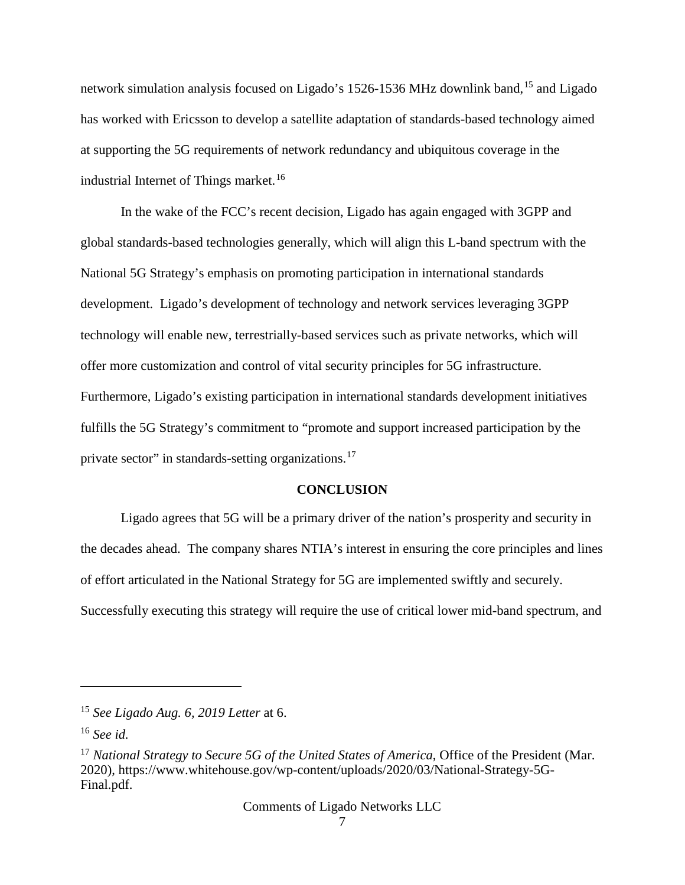network simulation analysis focused on Ligado's [15](#page-6-0)26-1536 MHz downlink band,<sup>15</sup> and Ligado has worked with Ericsson to develop a satellite adaptation of standards-based technology aimed at supporting the 5G requirements of network redundancy and ubiquitous coverage in the industrial Internet of Things market.<sup>[16](#page-6-1)</sup>

In the wake of the FCC's recent decision, Ligado has again engaged with 3GPP and global standards-based technologies generally, which will align this L-band spectrum with the National 5G Strategy's emphasis on promoting participation in international standards development. Ligado's development of technology and network services leveraging 3GPP technology will enable new, terrestrially-based services such as private networks, which will offer more customization and control of vital security principles for 5G infrastructure. Furthermore, Ligado's existing participation in international standards development initiatives fulfills the 5G Strategy's commitment to "promote and support increased participation by the private sector" in standards-setting organizations.[17](#page-6-2)

#### **CONCLUSION**

Ligado agrees that 5G will be a primary driver of the nation's prosperity and security in the decades ahead. The company shares NTIA's interest in ensuring the core principles and lines of effort articulated in the National Strategy for 5G are implemented swiftly and securely. Successfully executing this strategy will require the use of critical lower mid-band spectrum, and

<span id="page-6-0"></span><sup>15</sup> *See Ligado Aug. 6, 2019 Letter* at 6.

<span id="page-6-1"></span><sup>16</sup> *See id.*

<span id="page-6-2"></span><sup>&</sup>lt;sup>17</sup> *National Strategy to Secure 5G of the United States of America*, Office of the President (Mar. 2020), https://www.whitehouse.gov/wp-content/uploads/2020/03/National-Strategy-5G-Final.pdf.